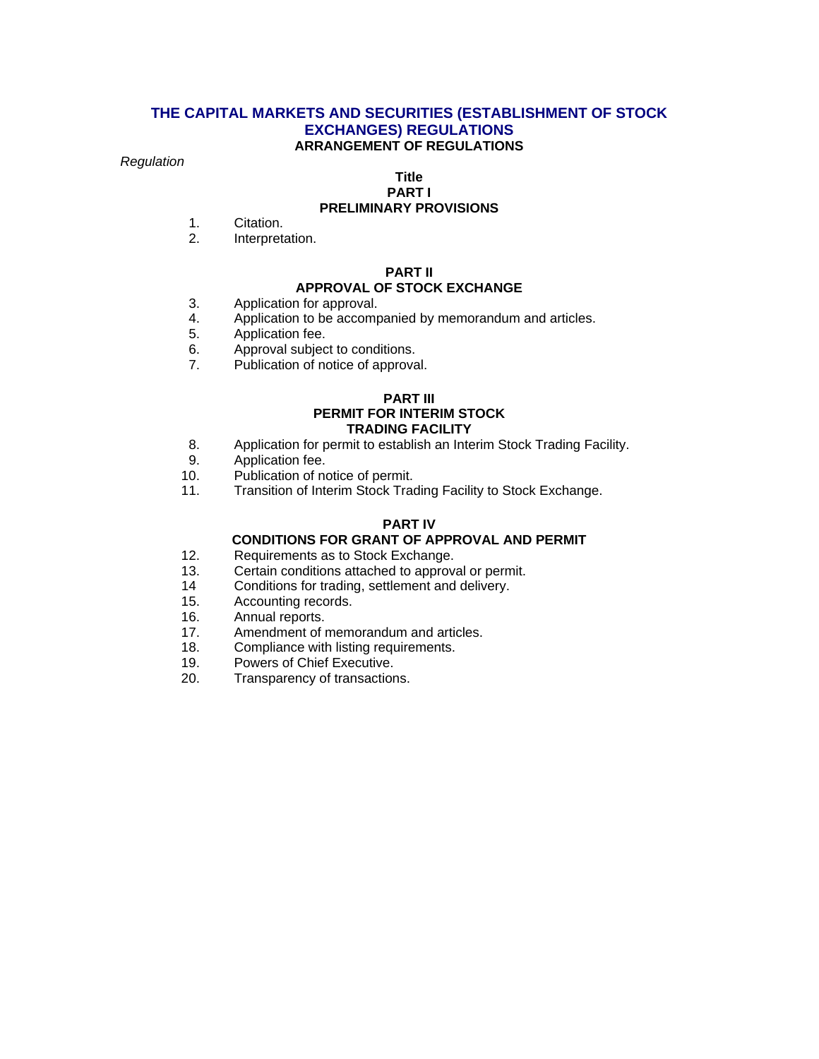#### **THE CAPITAL MARKETS AND SECURITIES (ESTABLISHMENT OF STOCK EXCHANGES) REGULATIONS ARRANGEMENT OF REGULATIONS**

#### *Regulation*

#### **Title PART I**

## **PRELIMINARY PROVISIONS**

- 1. Citation.
- 2. Interpretation.

#### **PART II**

#### **APPROVAL OF STOCK EXCHANGE**

- 3. Application for approval.
- 4. Application to be accompanied by memorandum and articles.
- 5. Application fee.
- 6. Approval subject to conditions.
- 7. Publication of notice of approval.

#### **PART III PERMIT FOR INTERIM STOCK TRADING FACILITY**

- 8. Application for permit to establish an Interim Stock Trading Facility.
- 9. Application fee.
- 10. Publication of notice of permit.
- 11. Transition of Interim Stock Trading Facility to Stock Exchange.

#### **PART IV**

## **CONDITIONS FOR GRANT OF APPROVAL AND PERMIT**

- 12. Requirements as to Stock Exchange.
- 13. Certain conditions attached to approval or permit.
- 14 Conditions for trading, settlement and delivery.
- 15. Accounting records.
- 16. Annual reports.
- 17. Amendment of memorandum and articles.<br>18. Compliance with listing requirements.
- Compliance with listing requirements.
- 19. Powers of Chief Executive.
- 20. Transparency of transactions.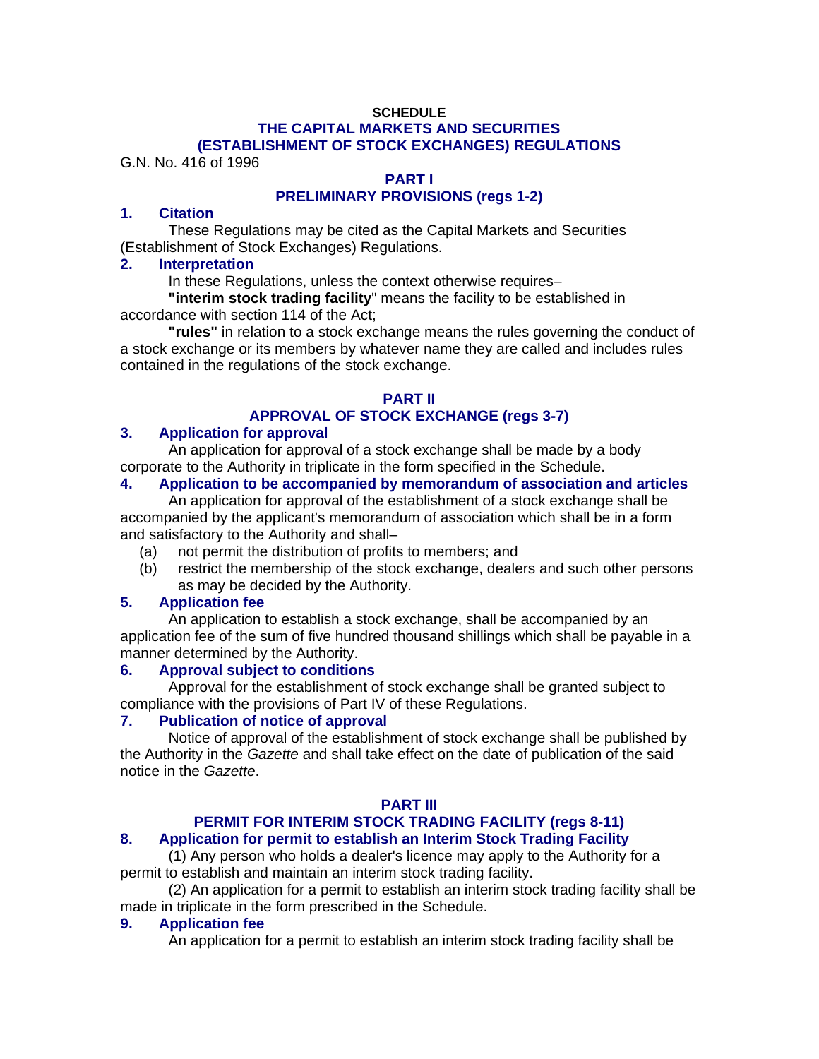#### **SCHEDULE THE CAPITAL MARKETS AND SECURITIES (ESTABLISHMENT OF STOCK EXCHANGES) REGULATIONS**

G.N. No. 416 of 1996

## **PART I**

## **PRELIMINARY PROVISIONS (regs 1-2)**

#### **1. Citation**

These Regulations may be cited as the Capital Markets and Securities (Establishment of Stock Exchanges) Regulations.

## **2. Interpretation**

In these Regulations, unless the context otherwise requires–

**"interim stock trading facility**" means the facility to be established in accordance with section 114 of the Act;

**"rules"** in relation to a stock exchange means the rules governing the conduct of a stock exchange or its members by whatever name they are called and includes rules contained in the regulations of the stock exchange.

# **PART II APPROVAL OF STOCK EXCHANGE (regs 3-7)**

## **3. Application for approval**

An application for approval of a stock exchange shall be made by a body corporate to the Authority in triplicate in the form specified in the Schedule.

### **4. Application to be accompanied by memorandum of association and articles**

An application for approval of the establishment of a stock exchange shall be accompanied by the applicant's memorandum of association which shall be in a form and satisfactory to the Authority and shall–

- (a) not permit the distribution of profits to members; and
- (b) restrict the membership of the stock exchange, dealers and such other persons as may be decided by the Authority.

## **5. Application fee**

An application to establish a stock exchange, shall be accompanied by an application fee of the sum of five hundred thousand shillings which shall be payable in a manner determined by the Authority.

## **6. Approval subject to conditions**

Approval for the establishment of stock exchange shall be granted subject to compliance with the provisions of Part IV of these Regulations.

#### **7. Publication of notice of approval**

Notice of approval of the establishment of stock exchange shall be published by the Authority in the *Gazette* and shall take effect on the date of publication of the said notice in the *Gazette*.

#### **PART III**

# **PERMIT FOR INTERIM STOCK TRADING FACILITY (regs 8-11)**

## **8. Application for permit to establish an Interim Stock Trading Facility**

(1) Any person who holds a dealer's licence may apply to the Authority for a permit to establish and maintain an interim stock trading facility.

(2) An application for a permit to establish an interim stock trading facility shall be made in triplicate in the form prescribed in the Schedule.

#### **9. Application fee**

An application for a permit to establish an interim stock trading facility shall be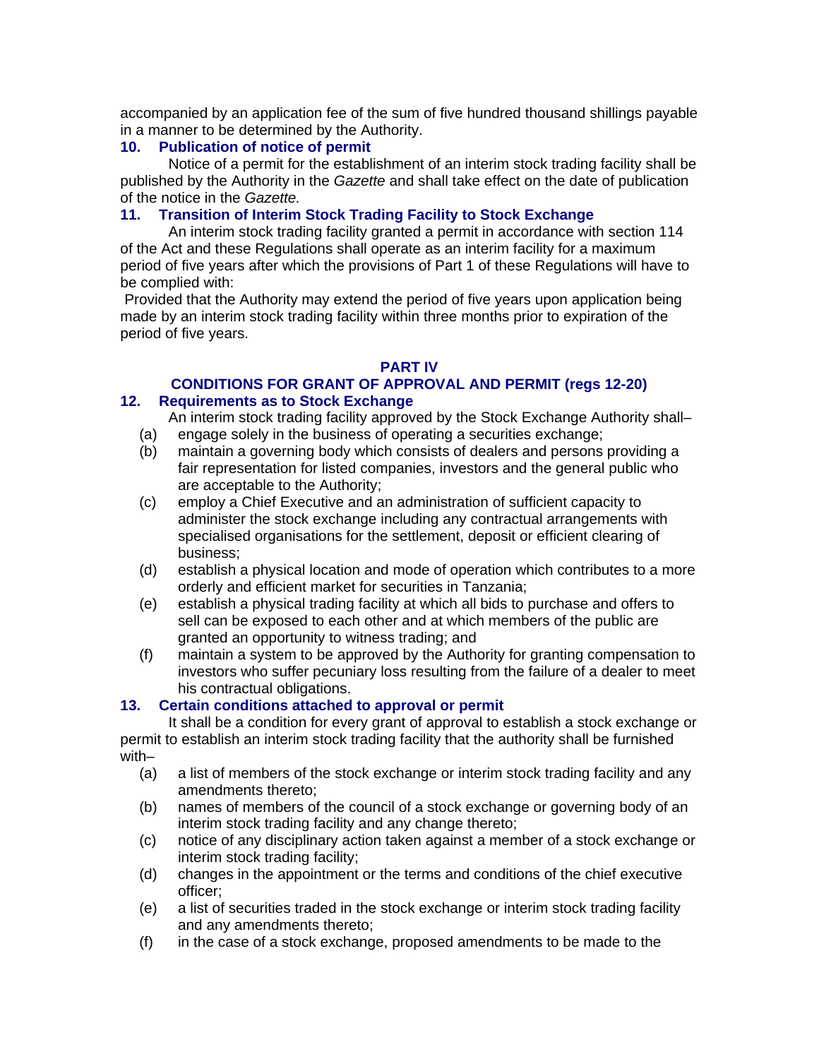accompanied by an application fee of the sum of five hundred thousand shillings payable in a manner to be determined by the Authority.

## **10. Publication of notice of permit**

Notice of a permit for the establishment of an interim stock trading facility shall be published by the Authority in the *Gazette* and shall take effect on the date of publication of the notice in the *Gazette.* 

## **11. Transition of Interim Stock Trading Facility to Stock Exchange**

An interim stock trading facility granted a permit in accordance with section 114 of the Act and these Regulations shall operate as an interim facility for a maximum period of five years after which the provisions of Part 1 of these Regulations will have to be complied with:

 Provided that the Authority may extend the period of five years upon application being made by an interim stock trading facility within three months prior to expiration of the period of five years.

## **PART IV**

#### **CONDITIONS FOR GRANT OF APPROVAL AND PERMIT (regs 12-20) 12. Requirements as to Stock Exchange**

An interim stock trading facility approved by the Stock Exchange Authority shall– (a) engage solely in the business of operating a securities exchange;

- (b) maintain a governing body which consists of dealers and persons providing a fair representation for listed companies, investors and the general public who are acceptable to the Authority;
- (c) employ a Chief Executive and an administration of sufficient capacity to administer the stock exchange including any contractual arrangements with specialised organisations for the settlement, deposit or efficient clearing of business;
- (d) establish a physical location and mode of operation which contributes to a more orderly and efficient market for securities in Tanzania;
- (e) establish a physical trading facility at which all bids to purchase and offers to sell can be exposed to each other and at which members of the public are granted an opportunity to witness trading; and
- (f) maintain a system to be approved by the Authority for granting compensation to investors who suffer pecuniary loss resulting from the failure of a dealer to meet his contractual obligations.

## **13. Certain conditions attached to approval or permit**

It shall be a condition for every grant of approval to establish a stock exchange or permit to establish an interim stock trading facility that the authority shall be furnished with–

- (a) a list of members of the stock exchange or interim stock trading facility and any amendments thereto;
- (b) names of members of the council of a stock exchange or governing body of an interim stock trading facility and any change thereto;
- (c) notice of any disciplinary action taken against a member of a stock exchange or interim stock trading facility;
- (d) changes in the appointment or the terms and conditions of the chief executive officer;
- (e) a list of securities traded in the stock exchange or interim stock trading facility and any amendments thereto;
- (f) in the case of a stock exchange, proposed amendments to be made to the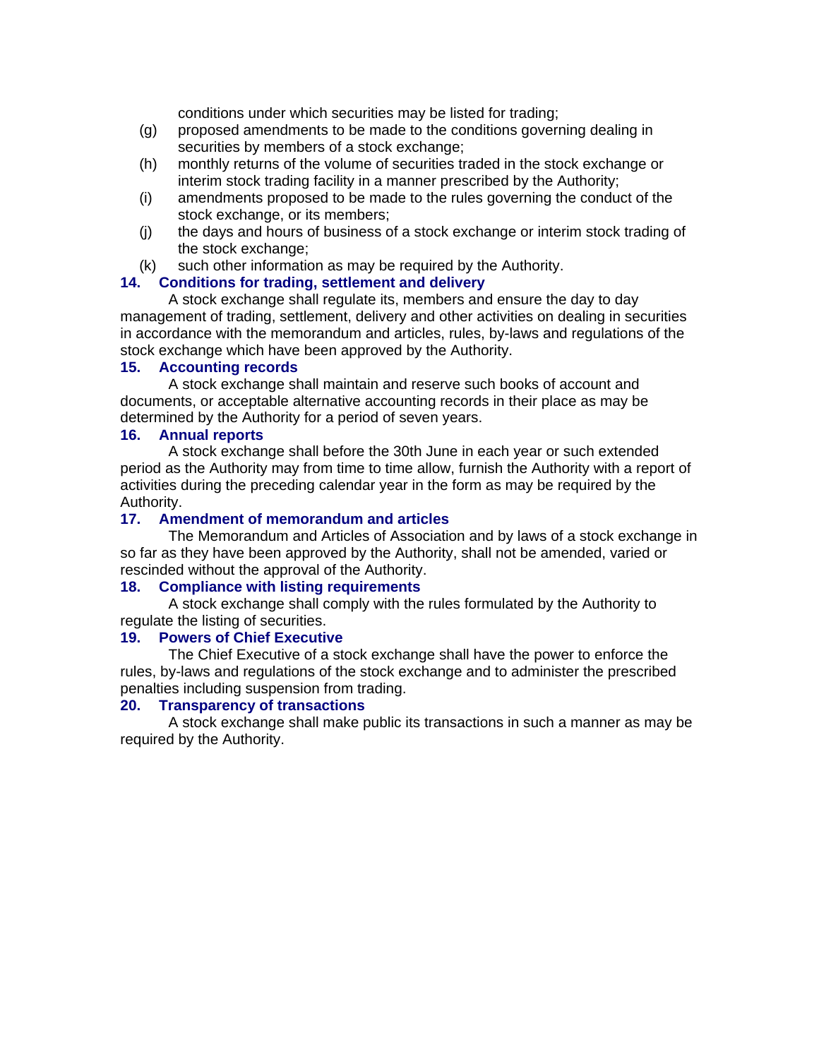conditions under which securities may be listed for trading;

- (g) proposed amendments to be made to the conditions governing dealing in securities by members of a stock exchange;
- (h) monthly returns of the volume of securities traded in the stock exchange or interim stock trading facility in a manner prescribed by the Authority;
- (i) amendments proposed to be made to the rules governing the conduct of the stock exchange, or its members;
- (j) the days and hours of business of a stock exchange or interim stock trading of the stock exchange;
- (k) such other information as may be required by the Authority.

## **14. Conditions for trading, settlement and delivery**

A stock exchange shall regulate its, members and ensure the day to day management of trading, settlement, delivery and other activities on dealing in securities in accordance with the memorandum and articles, rules, by-laws and regulations of the stock exchange which have been approved by the Authority.

## **15. Accounting records**

A stock exchange shall maintain and reserve such books of account and documents, or acceptable alternative accounting records in their place as may be determined by the Authority for a period of seven years.

## **16. Annual reports**

A stock exchange shall before the 30th June in each year or such extended period as the Authority may from time to time allow, furnish the Authority with a report of activities during the preceding calendar year in the form as may be required by the Authority.

## **17. Amendment of memorandum and articles**

The Memorandum and Articles of Association and by laws of a stock exchange in so far as they have been approved by the Authority, shall not be amended, varied or rescinded without the approval of the Authority.

#### **18. Compliance with listing requirements**

A stock exchange shall comply with the rules formulated by the Authority to regulate the listing of securities.

## **19. Powers of Chief Executive**

The Chief Executive of a stock exchange shall have the power to enforce the rules, by-laws and regulations of the stock exchange and to administer the prescribed penalties including suspension from trading.

## **20. Transparency of transactions**

A stock exchange shall make public its transactions in such a manner as may be required by the Authority.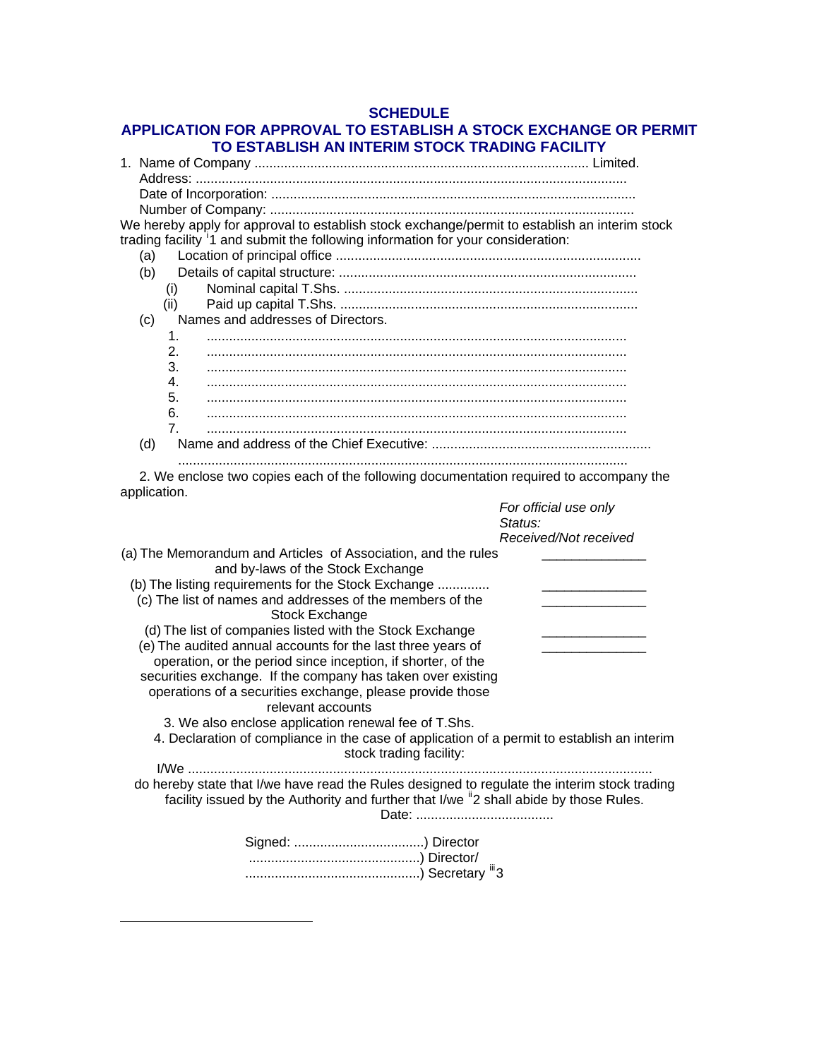## **SCHEDULE APPLICATION FOR APPROVAL TO ESTABLISH A STOCK EXCHANGE OR PERMIT TO ESTABLISH AN INTERIM STOCK TRADING FACILITY**

| We hereby apply for approval to establish stock exchange/permit to establish an interim stock<br>trading facility <sup>1</sup> 1 and submit the following information for your consideration: |                       |
|-----------------------------------------------------------------------------------------------------------------------------------------------------------------------------------------------|-----------------------|
| (a)                                                                                                                                                                                           |                       |
| (b)                                                                                                                                                                                           |                       |
| (i)                                                                                                                                                                                           |                       |
| (ii)                                                                                                                                                                                          |                       |
| Names and addresses of Directors.<br>(c)                                                                                                                                                      |                       |
| 1.                                                                                                                                                                                            |                       |
| 2.                                                                                                                                                                                            |                       |
| 3.                                                                                                                                                                                            |                       |
| 4.<br>5.                                                                                                                                                                                      |                       |
| 6.                                                                                                                                                                                            |                       |
| 7 <sub>1</sub>                                                                                                                                                                                |                       |
| (d)                                                                                                                                                                                           |                       |
|                                                                                                                                                                                               |                       |
| 2. We enclose two copies each of the following documentation required to accompany the<br>application.                                                                                        | For official use only |
| Status:                                                                                                                                                                                       |                       |
|                                                                                                                                                                                               | Received/Not received |
| (a) The Memorandum and Articles of Association, and the rules                                                                                                                                 |                       |
| and by-laws of the Stock Exchange                                                                                                                                                             |                       |
| (b) The listing requirements for the Stock Exchange                                                                                                                                           |                       |
| (c) The list of names and addresses of the members of the                                                                                                                                     |                       |
| Stock Exchange                                                                                                                                                                                |                       |
| (d) The list of companies listed with the Stock Exchange                                                                                                                                      |                       |
| (e) The audited annual accounts for the last three years of                                                                                                                                   |                       |
| operation, or the period since inception, if shorter, of the                                                                                                                                  |                       |
| securities exchange. If the company has taken over existing<br>operations of a securities exchange, please provide those                                                                      |                       |
| relevant accounts                                                                                                                                                                             |                       |
| 3. We also enclose application renewal fee of T.Shs.                                                                                                                                          |                       |
| 4. Declaration of compliance in the case of application of a permit to establish an interim<br>stock trading facility:                                                                        |                       |
|                                                                                                                                                                                               |                       |
| do hereby state that I/we have read the Rules designed to regulate the interim stock trading                                                                                                  |                       |
| facility issued by the Authority and further that I/we <sup>ii</sup> 2 shall abide by those Rules.                                                                                            |                       |
|                                                                                                                                                                                               |                       |
|                                                                                                                                                                                               |                       |
|                                                                                                                                                                                               |                       |

 $\overline{a}$